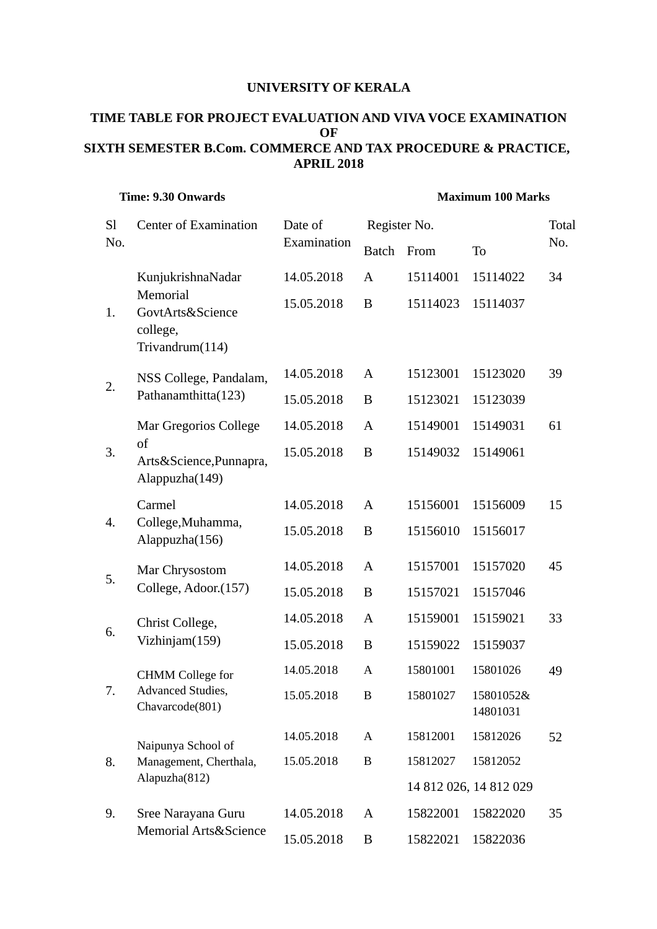## **UNIVERSITY OF KERALA**

## **TIME TABLE FOR PROJECT EVALUATION AND VIVA VOCE EXAMINATION OF SIXTH SEMESTER B.Com. COMMERCE AND TAX PROCEDURE & PRACTICE, APRIL 2018**

| <b>Time: 9.30 Onwards</b> |                                                                                  |                        | <b>Maximum 100 Marks</b> |          |                        |       |  |
|---------------------------|----------------------------------------------------------------------------------|------------------------|--------------------------|----------|------------------------|-------|--|
| <sub>Sl</sub><br>No.      | <b>Center of Examination</b>                                                     | Date of<br>Examination | Register No.             |          |                        | Total |  |
|                           |                                                                                  |                        | <b>Batch</b>             | From     | To                     | No.   |  |
| 1.                        | KunjukrishnaNadar<br>Memorial<br>GovtArts&Science<br>college,<br>Trivandrum(114) | 14.05.2018             | A                        | 15114001 | 15114022               | 34    |  |
|                           |                                                                                  | 15.05.2018             | B                        | 15114023 | 15114037               |       |  |
| 2.                        | NSS College, Pandalam,<br>Pathanamthitta(123)                                    | 14.05.2018             | A                        | 15123001 | 15123020               | 39    |  |
|                           |                                                                                  | 15.05.2018             | B                        | 15123021 | 15123039               |       |  |
| 3.                        | Mar Gregorios College<br>of<br>Arts&Science, Punnapra,<br>Alappuzha(149)         | 14.05.2018             | A                        | 15149001 | 15149031               | 61    |  |
|                           |                                                                                  | 15.05.2018             | B                        | 15149032 | 15149061               |       |  |
| 4.                        | Carmel<br>College, Muhamma,<br>Alappuzha(156)                                    | 14.05.2018             | A                        | 15156001 | 15156009               | 15    |  |
|                           |                                                                                  | 15.05.2018             | B                        | 15156010 | 15156017               |       |  |
| 5.                        | Mar Chrysostom<br>College, Adoor.(157)                                           | 14.05.2018             | A                        | 15157001 | 15157020               | 45    |  |
|                           |                                                                                  | 15.05.2018             | B                        | 15157021 | 15157046               |       |  |
| 6.                        | Christ College,<br>Vizhinjam(159)                                                | 14.05.2018             | A                        | 15159001 | 15159021               | 33    |  |
|                           |                                                                                  | 15.05.2018             | B                        | 15159022 | 15159037               |       |  |
| 7.                        | <b>CHMM</b> College for<br>Advanced Studies,<br>Chavarcode(801)                  | 14.05.2018             | A                        | 15801001 | 15801026               | 49    |  |
|                           |                                                                                  | 15.05.2018             | $\bf{B}$                 | 15801027 | 15801052&<br>14801031  |       |  |
| 8.                        | Naipunya School of<br>Management, Cherthala,<br>Alapuzha(812)                    | 14.05.2018             | A                        | 15812001 | 15812026               | 52    |  |
|                           |                                                                                  | 15.05.2018             | $\bf{B}$                 | 15812027 | 15812052               |       |  |
|                           |                                                                                  |                        |                          |          | 14 812 026, 14 812 029 |       |  |
| 9.                        | Sree Narayana Guru<br><b>Memorial Arts&amp;Science</b>                           | 14.05.2018             | A                        | 15822001 | 15822020               | 35    |  |
|                           |                                                                                  | 15.05.2018             | B                        | 15822021 | 15822036               |       |  |